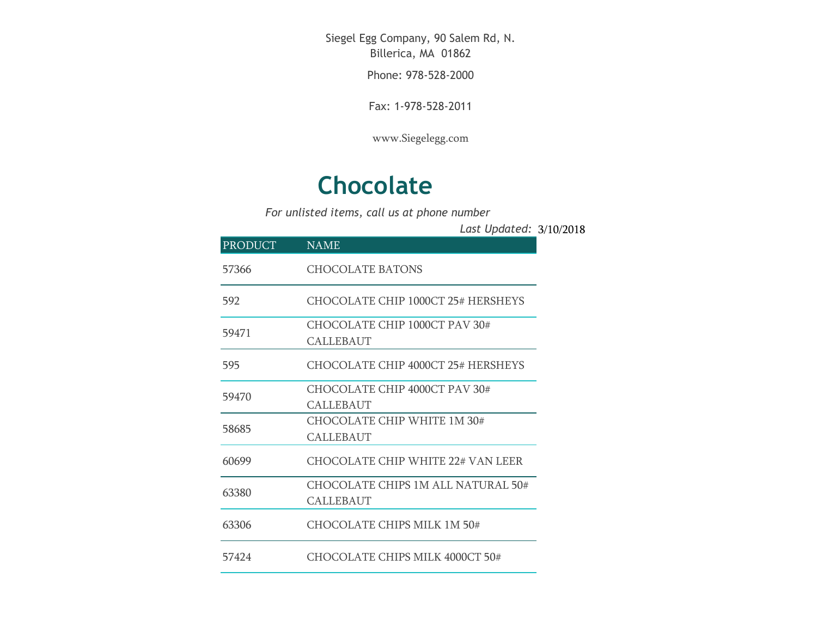Siegel Egg Company, 90 Salem Rd, N. Billerica, MA 01862

Phone: 978-528-2000

Fax: 1-978-528-2011

[www.Siegelegg.com](http://www.siegelegg.com/)

## **Chocolate**

*For unlisted items, call us at phone number*

3/10/2018 *Last Updated:*

| <b>PRODUCT</b> | <b>NAME</b>                                            |
|----------------|--------------------------------------------------------|
| 57366          | CHOCOLATE BATONS                                       |
| 592            | CHOCOLATE CHIP 1000CT 25# HERSHEYS                     |
| 59471          | CHOCOLATE CHIP 1000CT PAV 30#<br><b>CALLEBAUT</b>      |
| 595            | CHOCOLATE CHIP 4000CT 25# HERSHEYS                     |
| 59470          | CHOCOLATE CHIP 4000CT PAV 30#<br><b>CALLEBAUT</b>      |
| 58685          | CHOCOLATE CHIP WHITE 1M 30#<br>CALLEBAUT               |
| 60699          | CHOCOLATE CHIP WHITE 22# VAN LEER                      |
| 63380          | CHOCOLATE CHIPS 1M ALL NATURAL 50#<br><b>CALLEBAUT</b> |
| 63306          | CHOCOLATE CHIPS MILK 1M 50#                            |
| 57424          | CHOCOLATE CHIPS MILK 4000CT 50#                        |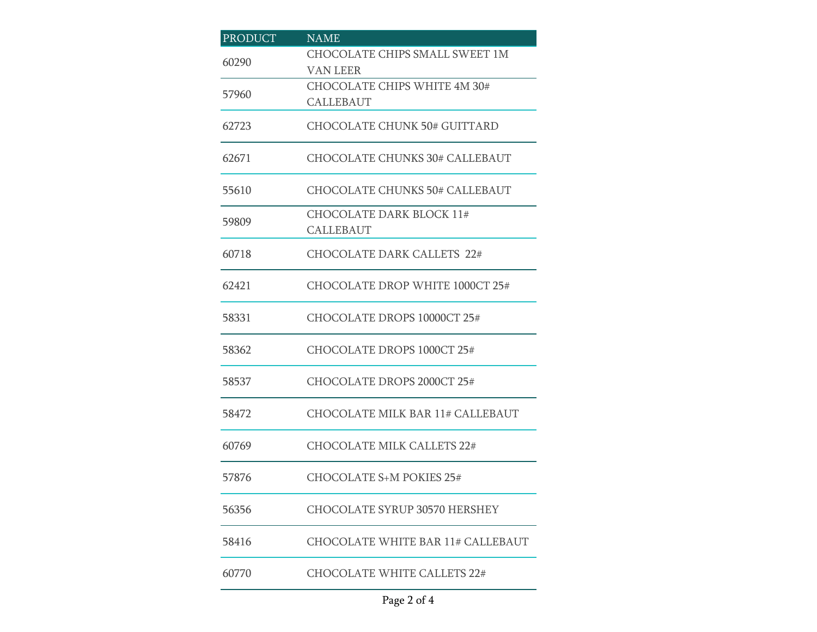| <b>PRODUCT</b> | <b>NAME</b>                                         |
|----------------|-----------------------------------------------------|
| 60290          | CHOCOLATE CHIPS SMALL SWEET 1M<br>VAN LEER          |
| 57960          | CHOCOLATE CHIPS WHITE 4M 30#<br><b>CALLEBAUT</b>    |
| 62723          | <b>CHOCOLATE CHUNK 50# GUITTARD</b>                 |
| 62671          | <b>CHOCOLATE CHUNKS 30# CALLEBAUT</b>               |
| 55610          | <b>CHOCOLATE CHUNKS 50# CALLEBAUT</b>               |
| 59809          | <b>CHOCOLATE DARK BLOCK 11#</b><br><b>CALLEBAUT</b> |
| 60718          | <b>CHOCOLATE DARK CALLETS 22#</b>                   |
| 62421          | CHOCOLATE DROP WHITE 1000CT 25#                     |
| 58331          | CHOCOLATE DROPS 10000CT 25#                         |
| 58362          | CHOCOLATE DROPS 1000CT 25#                          |
| 58537          | CHOCOLATE DROPS 2000CT 25#                          |
| 58472          | CHOCOLATE MILK BAR 11# CALLEBAUT                    |
| 60769          | <b>CHOCOLATE MILK CALLETS 22#</b>                   |
| 57876          | CHOCOLATE S+M POKIES 25#                            |
| 56356          | <b>CHOCOLATE SYRUP 30570 HERSHEY</b>                |
| 58416          | CHOCOLATE WHITE BAR 11# CALLEBAUT                   |
| 60770          | <b>CHOCOLATE WHITE CALLETS 22#</b>                  |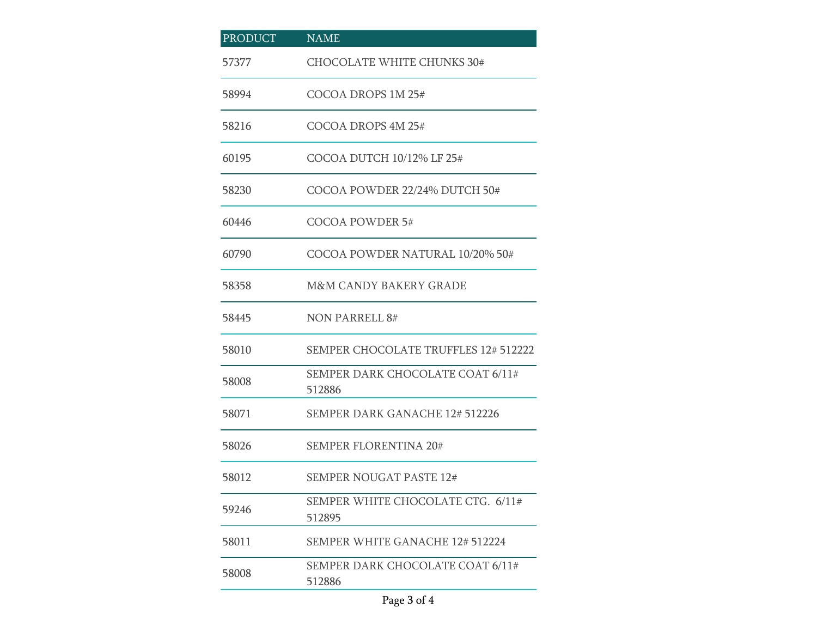| <b>PRODUCT</b> | <b>NAME</b>                                 |
|----------------|---------------------------------------------|
| 57377          | <b>CHOCOLATE WHITE CHUNKS 30#</b>           |
| 58994          | COCOA DROPS 1M 25#                          |
| 58216          | COCOA DROPS 4M 25#                          |
| 60195          | COCOA DUTCH 10/12% LF 25#                   |
| 58230          | COCOA POWDER 22/24% DUTCH 50#               |
| 60446          | COCOA POWDER 5#                             |
| 60790          | COCOA POWDER NATURAL 10/20% 50#             |
| 58358          | <b>M&amp;M CANDY BAKERY GRADE</b>           |
| 58445          | <b>NON PARRELL 8#</b>                       |
| 58010          | <b>SEMPER CHOCOLATE TRUFFLES 12# 512222</b> |
| 58008          | SEMPER DARK CHOCOLATE COAT 6/11#<br>512886  |
| 58071          | <b>SEMPER DARK GANACHE 12# 512226</b>       |
| 58026          | <b>SEMPER FLORENTINA 20#</b>                |
| 58012          | <b>SEMPER NOUGAT PASTE 12#</b>              |
| 59246          | SEMPER WHITE CHOCOLATE CTG. 6/11#<br>512895 |
| 58011          | <b>SEMPER WHITE GANACHE 12# 512224</b>      |
| 58008          | SEMPER DARK CHOCOLATE COAT 6/11#<br>512886  |